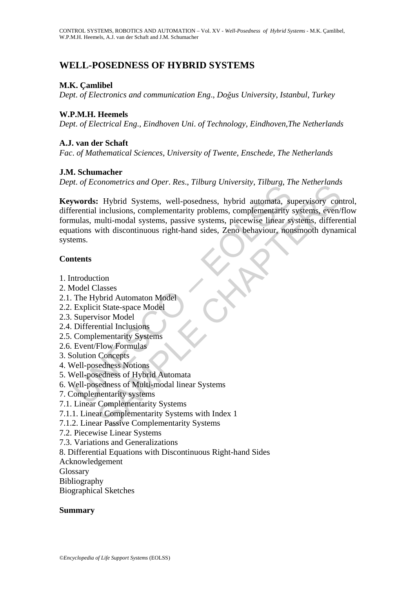# **WELL-POSEDNESS OF HYBRID SYSTEMS**

## **M.K. Çamlibel**

*Dept*. *of Electronics and communication Eng*., *Doğus University*, *Istanbul*, *Turkey* 

## **W.P.M.H. Heemels**

*Dept*. *of Electrical Eng*., *Eindhoven Uni*. *of Technology*, *Eindhoven*,*The Netherlands*

## **A.J. van der Schaft**

*Fac*. *of Mathematical Sciences*, *University of Twente*, *Enschede*, *The Netherlands*

## **J.M. Schumacher**

*Dept*. *of Econometrics and Oper*. *Res*., *Tilburg University*, *Tilburg*, *The Netherlands*

Examplementarity systems<br>
The Control of Matter Control of Matter Control of Matter Control<br>
The Control of Matter Control of State Space (State Space Section, 2001)<br>
The Hybrid Automaton sight-hand sides, Zeno behaviour, Continuent and oper rests, radial contestary, radial content and subservisory content<br>and Systems, well-posedness, hybrid automata, supervisory content<br>multi-modal systems, complementarity problems, complementarity systems **Keywords:** Hybrid Systems, well-posedness, hybrid automata, supervisory control, differential inclusions, complementarity problems, complementarity systems, even/flow formulas, multi-modal systems, passive systems, piecewise linear systems, differential equations with discontinuous right-hand sides, Zeno behaviour, nonsmooth dynamical systems.

## **Contents**

- 1. Introduction
- 2. Model Classes
- 2.1. The Hybrid Automaton Model
- 2.2. Explicit State-space Model
- 2.3. Supervisor Model
- 2.4. Differential Inclusions
- 2.5. Complementarity Systems
- 2.6. Event/Flow Formulas
- 3. Solution Concepts
- 4. Well-posedness Notions
- 5. Well-posedness of Hybrid Automata
- 6. Well-posedness of Multi-modal linear Systems
- 7. Complementarity systems
- 7.1. Linear Complementarity Systems
- 7.1.1. Linear Complementarity Systems with Index 1
- 7.1.2. Linear Passive Complementarity Systems
- 7.2. Piecewise Linear Systems
- 7.3. Variations and Generalizations
- 8. Differential Equations with Discontinuous Right-hand Sides
- Acknowledgement

Glossary

- Bibliography
- Biographical Sketches

## **Summary**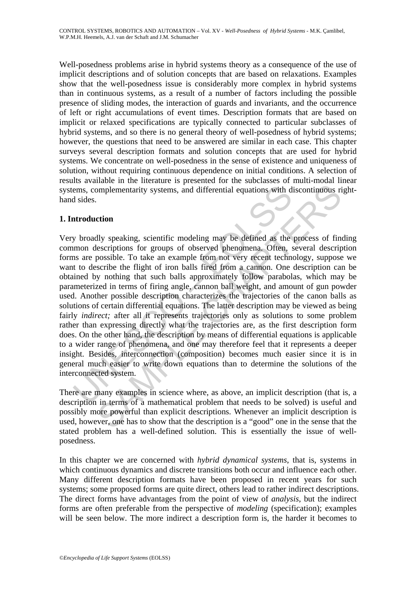Well-posedness problems arise in hybrid systems theory as a consequence of the use of implicit descriptions and of solution concepts that are based on relaxations. Examples show that the well-posedness issue is considerably more complex in hybrid systems than in continuous systems, as a result of a number of factors including the possible presence of sliding modes, the interaction of guards and invariants, and the occurrence of left or right accumulations of event times. Description formats that are based on implicit or relaxed specifications are typically connected to particular subclasses of hybrid systems, and so there is no general theory of well-posedness of hybrid systems; however, the questions that need to be answered are similar in each case. This chapter surveys several description formats and solution concepts that are used for hybrid systems. We concentrate on well-posedness in the sense of existence and uniqueness of solution, without requiring continuous dependence on initial conditions. A selection of results available in the literature is presented for the subclasses of multi-modal linear systems, complementarity systems, and differential equations with discontinuous righthand sides.

## **1. Introduction**

ems, complementarity systems, and differential equations with d<br>sides.<br>
Artroduction<br>
Artroduction<br>
Artroduction<br>
Artroduction<br>
Systems for groups of observed phenomena. Often, s<br>
as are possible. To take an example from n Implementarity systems, and differential equations with discontinuous riefundably speaking, scientific modeling may be defined as the process of finitions for groups of observed phenomena. Often, several descriptions corre Very broadly speaking, scientific modeling may be defined as the process of finding common descriptions for groups of observed phenomena. Often, several description forms are possible. To take an example from not very recent technology, suppose we want to describe the flight of iron balls fired from a cannon. One description can be obtained by nothing that such balls approximately follow parabolas, which may be parameterized in terms of firing angle, cannon ball weight, and amount of gun powder used. Another possible description characterizes the trajectories of the canon balls as solutions of certain differential equations. The latter description may be viewed as being fairly *indirect*; after all it represents trajectories only as solutions to some problem rather than expressing directly what the trajectories are, as the first description form does. On the other hand, the description by means of differential equations is applicable to a wider range of phenomena, and one may therefore feel that it represents a deeper insight. Besides, interconnection (composition) becomes much easier since it is in general much easier to write down equations than to determine the solutions of the interconnected system.

There are many examples in science where, as above, an implicit description (that is, a description in terms of a mathematical problem that needs to be solved) is useful and possibly more powerful than explicit descriptions. Whenever an implicit description is used, however, one has to show that the description is a "good" one in the sense that the stated problem has a well-defined solution. This is essentially the issue of wellposedness.

In this chapter we are concerned with *hybrid dynamical systems*, that is, systems in which continuous dynamics and discrete transitions both occur and influence each other. Many different description formats have been proposed in recent years for such systems; some proposed forms are quite direct, others lead to rather indirect descriptions. The direct forms have advantages from the point of view of *analysis*, but the indirect forms are often preferable from the perspective of *modeling* (specification); examples will be seen below. The more indirect a description form is, the harder it becomes to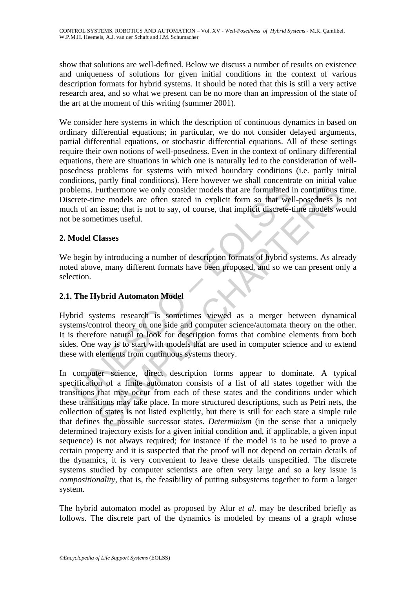show that solutions are well-defined. Below we discuss a number of results on existence and uniqueness of solutions for given initial conditions in the context of various description formats for hybrid systems. It should be noted that this is still a very active research area, and so what we present can be no more than an impression of the state of the art at the moment of this writing (summer 2001).

We consider here systems in which the description of continuous dynamics in based on ordinary differential equations; in particular, we do not consider delayed arguments, partial differential equations, or stochastic differential equations. All of these settings require their own notions of well-posedness. Even in the context of ordinary differential equations, there are situations in which one is naturally led to the consideration of wellposedness problems for systems with mixed boundary conditions (i.e. partly initial conditions, partly final conditions). Here however we shall concentrate on initial value problems. Furthermore we only consider models that are formulated in continuous time. Discrete-time models are often stated in explicit form so that well-posedness is not much of an issue; that is not to say, of course, that implicit discrete-time models would not be sometimes useful.

## **2. Model Classes**

We begin by introducing a number of description formats of hybrid systems. As already noted above, many different formats have been proposed, and so we can present only a selection.

## **2.1. The Hybrid Automaton Model**

blems. Furthermore we only consider models that are formulated in<br>crete-time models are often stated in explicit form so that well<br>the of an issue; that is not to say, of course, that implicit discrete-t<br>be sometimes usefu Hybrid systems research is sometimes viewed as a merger between dynamical systems/control theory on one side and computer science/automata theory on the other. It is therefore natural to look for description forms that combine elements from both sides. One way is to start with models that are used in computer science and to extend these with elements from continuous systems theory.

Furthermore we only consider models that are formulated in continuous the Furthermore we only consider models that are formulated in continuous the models are often stated in explicit form so that well-posedness is issue; In computer science, direct description forms appear to dominate. A typical specification of a finite automaton consists of a list of all states together with the transitions that may occur from each of these states and the conditions under which these transitions may take place. In more structured descriptions, such as Petri nets, the collection of states is not listed explicitly, but there is still for each state a simple rule that defines the possible successor states. *Determinism* (in the sense that a uniquely determined trajectory exists for a given initial condition and, if applicable, a given input sequence) is not always required; for instance if the model is to be used to prove a certain property and it is suspected that the proof will not depend on certain details of the dynamics, it is very convenient to leave these details unspecified. The discrete systems studied by computer scientists are often very large and so a key issue is *compositionality*, that is, the feasibility of putting subsystems together to form a larger system.

The hybrid automaton model as proposed by Alur *et al*. may be described briefly as follows. The discrete part of the dynamics is modeled by means of a graph whose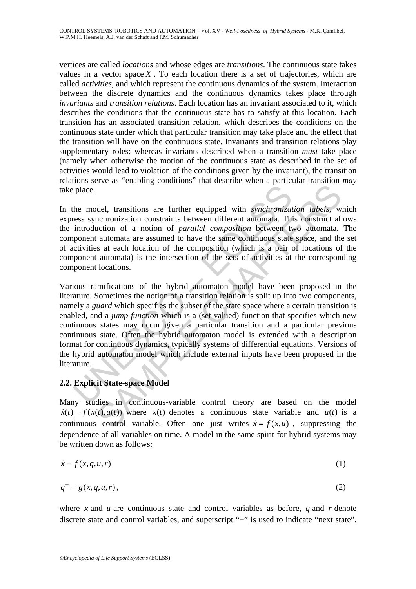vertices are called *locations* and whose edges are *transitions*. The continuous state takes values in a vector space  $X$ . To each location there is a set of trajectories, which are called *activities*, and which represent the continuous dynamics of the system. Interaction between the discrete dynamics and the continuous dynamics takes place through *invariants* and *transition relations*. Each location has an invariant associated to it, which describes the conditions that the continuous state has to satisfy at this location. Each transition has an associated transition relation, which describes the conditions on the continuous state under which that particular transition may take place and the effect that the transition will have on the continuous state. Invariants and transition relations play supplementary roles: whereas invariants described when a transition *must* take place (namely when otherwise the motion of the continuous state as described in the set of activities would lead to violation of the conditions given by the invariant), the transition relations serve as "enabling conditions" that describe when a particular transition *may* take place.

In the model, transitions are further equipped with *synchronization labels*, which express synchronization constraints between different automata. This construct allows the introduction of a notion of *parallel composition* between two automata. The component automata are assumed to have the same continuous state space, and the set of activities at each location of the composition (which is a pair of locations of the component automata) is the intersection of the sets of activities at the corresponding component locations.

Frace.<br>
The model, transitions are further equipped with *synchronizates*<br>
introduction of a notion of *parallel composition* between the<br>
introduction of a notion of *parallel composition* between the<br>
introduction of a n del, transitions are further equipped with *synchronization labels*, whethronization constraints between different automata. This construct all<br>action of a notion of *parallel composition* between two automata.<br>automata a Various ramifications of the hybrid automaton model have been proposed in the literature. Sometimes the notion of a transition relation is split up into two components, namely a *guard* which specifies the subset of the state space where a certain transition is enabled, and a *jump function* which is a (set-valued) function that specifies which new continuous states may occur given a particular transition and a particular previous continuous state. Often the hybrid automaton model is extended with a description format for continuous dynamics, typically systems of differential equations. Versions of the hybrid automaton model which include external inputs have been proposed in the literature.

## **2.2. Explicit State-space Model**

Many studies in continuous-variable control theory are based on the model  $\dot{x}(t) = f(x(t), u(t))$  where  $x(t)$  denotes a continuous state variable and  $u(t)$  is a continuous control variable. Often one just writes  $\dot{x} = f(x, u)$ , suppressing the dependence of all variables on time. A model in the same spirit for hybrid systems may be written down as follows:

$$
\dot{x} = f(x, q, u, r) \tag{1}
$$

$$
q^+ = g(x, q, u, r),\tag{2}
$$

where *x* and *u* are continuous state and control variables as before, *q* and *r* denote discrete state and control variables, and superscript "+" is used to indicate "next state".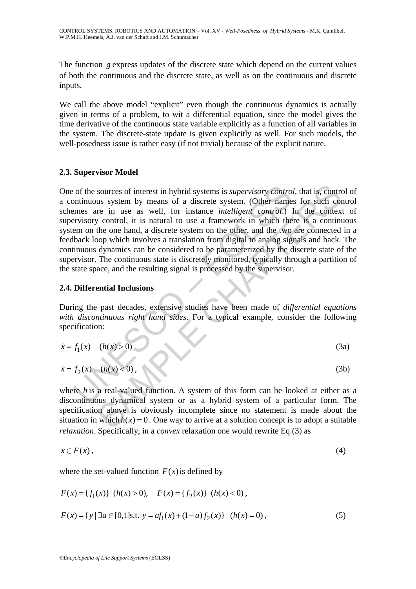The function *g* express updates of the discrete state which depend on the current values of both the continuous and the discrete state, as well as on the continuous and discrete inputs.

We call the above model "explicit" even though the continuous dynamics is actually given in terms of a problem, to wit a differential equation, since the model gives the time derivative of the continuous state variable explicitly as a function of all variables in the system. The discrete-state update is given explicitly as well. For such models, the well-posedness issue is rather easy (if not trivial) because of the explicit nature.

## **2.3. Supervisor Model**

of the sources of interest in hybrid systems is *supervisory contro*<br>ontinuous system by means of a discrete system. (Other name<br>mes are in use as well, for instance *intelligent control.*) levisory control, it is natural sources of interest in hybrid systems is *supervisory control*, that is, contra<br>
us system by means of a discrete system. (Other names for such con-<br>
re in use as well, for instance *intelligent control*.) In the contex<br> One of the sources of interest in hybrid systems is *supervisory control*, that is, control of a continuous system by means of a discrete system. (Other names for such control schemes are in use as well, for instance *intelligent control*.) In the context of supervisory control, it is natural to use a framework in which there is a continuous system on the one hand, a discrete system on the other, and the two are connected in a feedback loop which involves a translation from digital to analog signals and back. The continuous dynamics can be considered to be parameterized by the discrete state of the supervisor. The continuous state is discretely monitored, typically through a partition of the state space, and the resulting signal is processed by the supervisor.

## **2.4. Differential Inclusions**

During the past decades, extensive studies have been made of *differential equations with discontinuous right hand sides*. For a typical example, consider the following specification:

$$
\dot{x} = f_1(x) \quad (h(x) > 0)
$$
 (3a)

$$
\dot{x} = f_2(x) - (h(x) < 0),\tag{3b}
$$

where *h* is a real-valued function. A system of this form can be looked at either as a discontinuous dynamical system or as a hybrid system of a particular form. The specification above is obviously incomplete since no statement is made about the situation in which  $h(x) = 0$ . One way to arrive at a solution concept is to adopt a suitable *relaxation*. Specifically, in a *convex* relaxation one would rewrite Eq.(3) as

$$
\dot{x} \in F(x),\tag{4}
$$

where the set-valued function  $F(x)$  is defined by

$$
F(x) = \{f_1(x)\} (h(x) > 0), \quad F(x) = \{f_2(x)\} (h(x) < 0),
$$
  

$$
F(x) = \{y \mid \exists a \in [0,1] \text{s.t. } y = af_1(x) + (1-a)f_2(x)\} (h(x) = 0),
$$
 (5)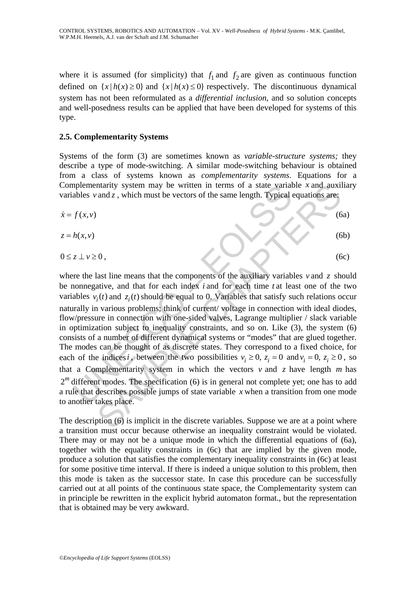where it is assumed (for simplicity) that  $f_1$  and  $f_2$  are given as continuous function defined on  $\{x \mid h(x) \ge 0\}$  and  $\{x \mid h(x) \le 0\}$  respectively. The discontinuous dynamical system has not been reformulated as a *differential inclusion*, and so solution concepts and well-posedness results can be applied that have been developed for systems of this type.

### **2.5. Complementarity Systems**

Systems of the form (3) are sometimes known as *variable*-*structure systems;* they describe a type of mode-switching. A similar mode-switching behaviour is obtained from a class of systems known as *complementarity systems*. Equations for a Complementarity system may be written in terms of a state variable *x* and auxiliary variables  $v$  and  $z$ , which must be vectors of the same length. Typical equations are:

$$
\dot{x} = f(x, v)
$$
\n
$$
z = h(x, v)
$$
\n
$$
0 \le z \perp v \ge 0,
$$
\n(6a)\n
$$
0 \le z \perp v \ge 0,
$$
\n(6b)\n
$$
0 \le z \perp v \ge 0,
$$
\n(6c)

may be written in terms of a state variables *v* and *z*, which must be vectors of the same length. Typical dables *v* and *z*, which must be vectors of the same length. Typical  $f(x, v)$ <br>  $h(x, v)$ <br>  $z \perp v \ge 0$ ,<br>
re the last Interity system may be written in terms of a state variable x and auxil<br>and z, which must be vectors of the same length. Typical equations are:<br>
(6<br>
last line means that the components of the auxiliary variables v and z s where the last line means that the components of the auxiliary variables  $v$  and  $\zeta$  should be nonnegative, and that for each index *i* and for each time *t* at least one of the two variables  $v_i(t)$  and  $z_i(t)$  should be equal to 0. Variables that satisfy such relations occur naturally in various problems; think of current/ voltage in connection with ideal diodes, flow/pressure in connection with one-sided valves, Lagrange multiplier / slack variable in optimization subject to inequality constraints, and so on. Like (3), the system (6) consists of a number of different dynamical systems or "modes" that are glued together. The modes can be thought of as discrete states. They correspond to a fixed choice, for each of the indices *i*, between the two possibilities  $v_i \geq 0$ ,  $z_i = 0$  and  $v_i = 0$ ,  $z_i \geq 0$ , so that a Complementarity system in which the vectors  $v$  and  $z$  have length  $m$  has  $2<sup>m</sup>$  different modes. The specification (6) is in general not complete yet; one has to add a rule that describes possible jumps of state variable *x* when a transition from one mode to another takes place.

The description (6) is implicit in the discrete variables. Suppose we are at a point where a transition must occur because otherwise an inequality constraint would be violated. There may or may not be a unique mode in which the differential equations of (6a), together with the equality constraints in (6c) that are implied by the given mode, produce a solution that satisfies the complementary inequality constraints in (6c) at least for some positive time interval. If there is indeed a unique solution to this problem, then this mode is taken as the successor state. In case this procedure can be successfully carried out at all points of the continuous state space, the Complementarity system can in principle be rewritten in the explicit hybrid automaton format., but the representation that is obtained may be very awkward.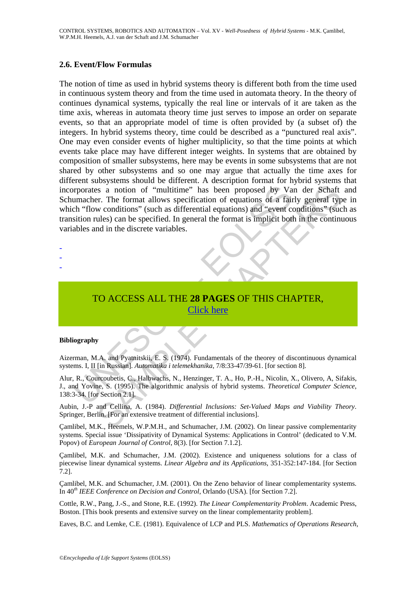### **2.6. Event/Flow Formulas**

operates a notion of "multitime" has been proposed by Va<br>
umacher. The format allows specification of equations of a fain<br>
the "flow conditions" (such as differential equations) and "event co<br>
sition rules) can be specifie Standard Community That Schemes May and Telesting The Schaff Chapter Schemes Samplions" (such as differential equations) and "event conditions" (such as differential equations) and "event conditions" (such as differential The notion of time as used in hybrid systems theory is different both from the time used in continuous system theory and from the time used in automata theory. In the theory of continues dynamical systems, typically the real line or intervals of it are taken as the time axis, whereas in automata theory time just serves to impose an order on separate events, so that an appropriate model of time is often provided by (a subset of) the integers. In hybrid systems theory, time could be described as a "punctured real axis". One may even consider events of higher multiplicity, so that the time points at which events take place may have different integer weights. In systems that are obtained by composition of smaller subsystems, here may be events in some subsystems that are not shared by other subsystems and so one may argue that actually the time axes for different subsystems should be different. A description format for hybrid systems that incorporates a notion of "multitime" has been proposed by Van der Schaft and Schumacher. The format allows specification of equations of a fairly general type in which "flow conditions" (such as differential equations) and "event conditions" (such as transition rules) can be specified. In general the format is implicit both in the continuous variables and in the discrete variables.

- -
- -
- -

# TO ACCESS ALL THE **28 PAGES** OF THIS CHAPTER, Click here

#### **Bibliography**

Aizerman, M.A. and Pyatnitskii, E. S. (1974). Fundamentals of the theorey of discontinuous dynamical systems. I, II [in Russian]. *Automatika i telemekhanika*, 7/8:33-47/39-61. [for section 8].

Alur, R., Courcoubetis, C., Halbwachs, N., Henzinger, T. A., Ho, P.-H., Nicolin, X., Olivero, A, Sifakis, J., and Yovine, S. (1995). The algorithmic analysis of hybrid systems. *Theoretical Computer Science*, 138:3-34. [for Section 2.1].

Aubin, J.-P and Cellina, A. (1984). *Differential Inclusions: Set*-*Valued Maps and Viability Theory*. Springer, Berlin. [For an extensive treatment of differential inclusions].

Çamlibel, M.K., Heemels, W.P.M.H., and Schumacher, J.M. (2002). On linear passive complementarity systems. Special issue 'Dissipativity of Dynamical Systems: Applications in Control' (dedicated to V.M. Popov) of *European Journal of Control*, 8(3). [for Section 7.1.2].

Çamlibel, M.K. and Schumacher, J.M. (2002). Existence and uniqueness solutions for a class of piecewise linear dynamical systems. *Linear Algebra and its Applications*, 351-352:147-184. [for Section 7.2].

Çamlibel, M.K. and Schumacher, J.M. (2001). On the Zeno behavior of linear complementarity systems. In 40*th IEEE Conference on Decision and Control*, Orlando (USA). [for Section 7.2].

Cottle, R.W., Pang, J.-S., and Stone, R.E. (1992). *The Linear Complementarity Problem*. Academic Press, Boston. [This book presents and extensive survey on the linear complementarity problem].

Eaves, B.C. and Lemke, C.E. (1981). Equivalence of LCP and PLS. *Mathematics of Operations Research*,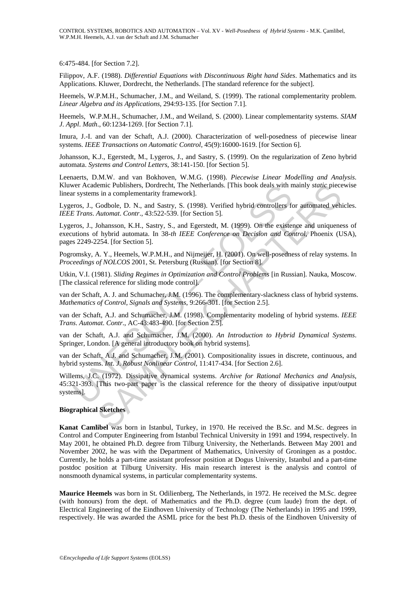6:475-484. [for Section 7.2].

Filippov, A.F. (1988). *Differential Equations with Discontinuous Right hand Sides*. Mathematics and its Applications. Kluwer, Dordrecht, the Netherlands. [The standard reference for the subject].

Heemels, W.P.M.H., Schumacher, J.M., and Weiland, S. (1999). The rational complementarity problem. *Linear Algebra and its Applications*, 294:93-135. [for Section 7.1].

Heemels, W.P.M.H., Schumacher, J.M., and Weiland, S. (2000). Linear complementarity systems. *SIAM J*. *Appl*. *Math*., 60:1234-1269. [for Section 7.1].

Imura, J.-I. and van der Schaft, A.J. (2000). Characterization of well-posedness of piecewise linear systems. *IEEE Transactions on Automatic Control*, 45(9):16000-1619. [for Section 6].

Johansson, K.J., Egerstedt, M., Lygeros, J., and Sastry, S. (1999). On the regularization of Zeno hybrid automata. *Systems and Control Letters*, 38:141-150. [for Section 5].

Leenaerts, D.M.W. and van Bokhoven, W.M.G. (1998). *Piecewise Linear Modelling and Analysis*. Kluwer Academic Publishers, Dordrecht, The Netherlands. [This book deals with mainly *static* piecewise linear systems in a complementarity framework].

Lygeros, J., Godbole, D. N., and Sastry, S. (1998). Verified hybrid controllers for automated vehicles. *IEEE Trans*. *Automat*. *Contr*., 43:522-539. [for Section 5].

ver Academic Publishers, Dordrecht, The Netherlands. [This book deals with n<br>
r systems in a complementarity framework].<br>
The Strong, J., Godobel, D. N., and Sastry, S. (1998). Verified hybrid controllers for<br>
Fros, J., Go iemic Publishers, Dordrecht, The Netherlands. [This book deals with mainly *static* piece<br>si in a complementarity framework].<br>Godbole, D. N., and Sastry, S. (1998). Verified hybrid controllers for automated veh<br>*Automat. C* Lygeros, J., Johansson, K.H., Sastry, S., and Egerstedt, M. (1999). On the existence and uniqueness of executions of hybrid automata. In 38-*th IEEE Conference on Decision and Control*, Phoenix (USA), pages 2249-2254. [for Section 5].

Pogromsky, A. Y., Heemels, W.P.M.H., and Nijmeijer, H. (2001). On well-posedness of relay systems. In *Proceedings of NOLCOS* 2001, St. Petersburg (Russian). [for Section 8].

Utkin, V.I. (1981). *Sliding Regimes in Optimization and Control Problems* [in Russian]. Nauka, Moscow. [The classical reference for sliding mode control].

van der Schaft, A. J. and Schumacher, J.M. (1996). The complementary-slackness class of hybrid systems. *Mathematics of Control*, *Signals and Systems*, 9:266-301. [for Section 2.5].

van der Schaft, A.J. and Schumacher, J.M. (1998). Complementarity modeling of hybrid systems. *IEEE Trans*. *Automat*. *Contr*., AC-43:483-490. [for Section 2.5].

van der Schaft, A.J. and Schumacher, J.M. (2000). *An Introduction to Hybrid Dynamical Systems*. Springer, London. [A general introductory book on hybrid systems].

van der Schaft, A.J. and Schumacher, J.M. (2001). Compositionality issues in discrete, continuous, and hybrid systems. *Int*. *J*. *Robust Nonlinear Control*, 11:417-434. [for Section 2.6].

Willems, J.C. (1972). Dissipative dynamical systems. *Archive for Rational Mechanics and Analysis*, 45:321-393. [This two-part paper is the classical reference for the theory of dissipative input/output systems].

#### **Biographical Sketches**

**Kanat Camlibel** was born in Istanbul, Turkey, in 1970. He received the B.Sc. and M.Sc. degrees in Control and Computer Engineering from Istanbul Technical University in 1991 and 1994, respectively. In May 2001, he obtained Ph.D. degree from Tilburg University, the Netherlands. Between May 2001 and November 2002, he was with the Department of Mathematics, University of Groningen as a postdoc. Currently, he holds a part-time assistant professor position at Dogus University, Istanbul and a part-time postdoc position at Tilburg University. His main research interest is the analysis and control of nonsmooth dynamical systems, in particular complementarity systems.

**Maurice Heemels** was born in St. Odilienberg, The Netherlands, in 1972. He received the M.Sc. degree (with honours) from the dept. of Mathematics and the Ph.D. degree (cum laude) from the dept. of Electrical Engineering of the Eindhoven University of Technology (The Netherlands) in 1995 and 1999, respectively. He was awarded the ASML price for the best Ph.D. thesis of the Eindhoven University of